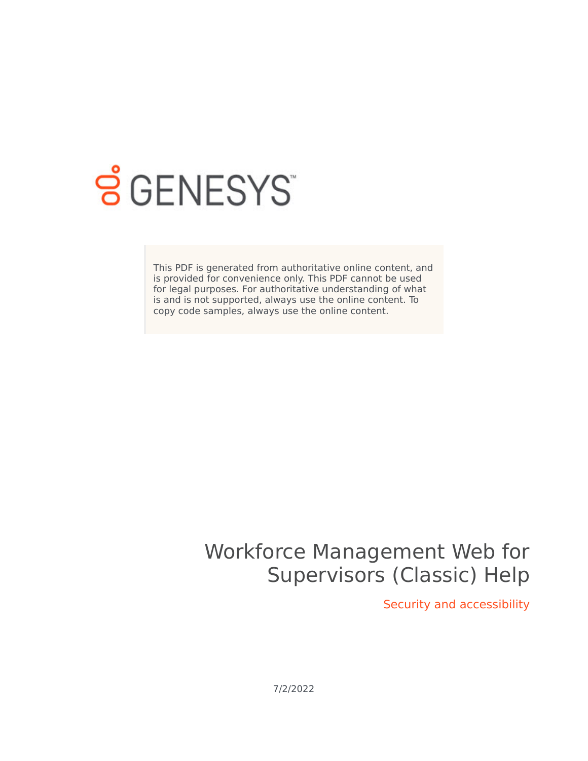

# **S** GENESYS

This PDF is generated from authoritative online content, and is provided for convenience only. This PDF cannot be used for legal purposes. For authoritative understanding of what is and is not supported, always use the online content. To copy code samples, always use the online content.

# Workforce Management Web for Supervisors (Classic) Help

Security and accessibility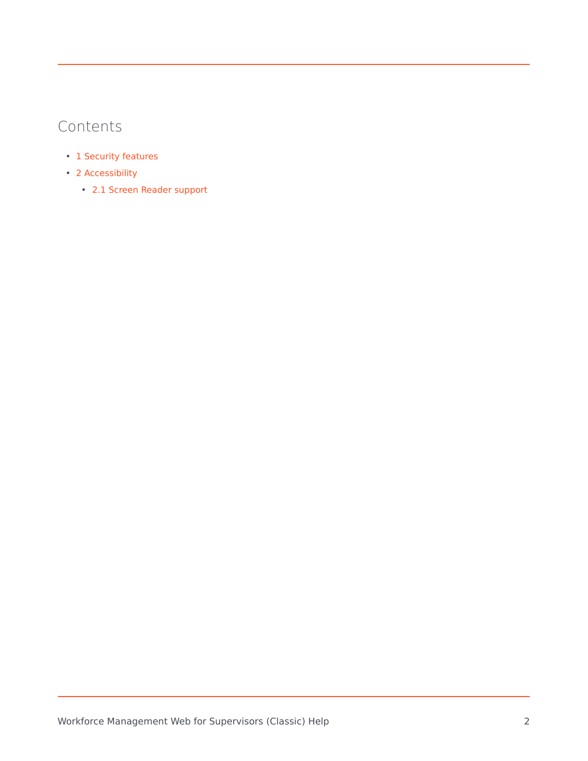# Contents

- 1 [Security features](#page-2-0)
- 2 [Accessibility](#page-2-1)
	- 2.1 [Screen Reader support](#page-2-2)